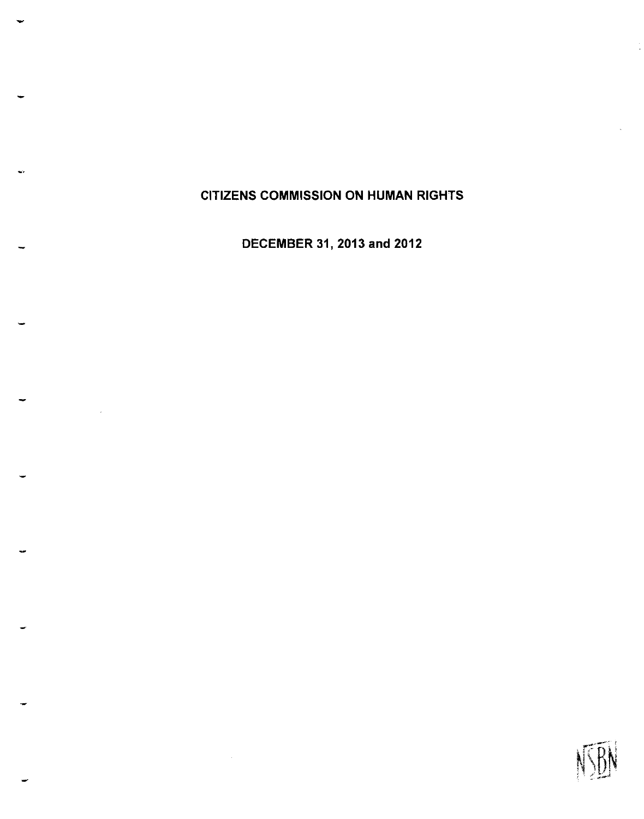# CITIZENS COMMISSION ON HUMAN RIGHTS

DECEMBER 31, 2013 and 2012

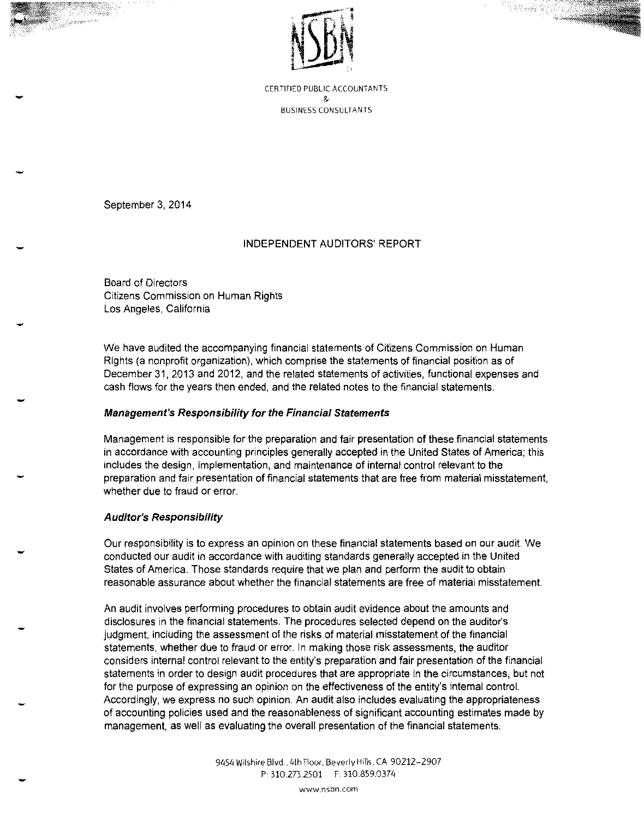

CERTIFIED PUBLIC ACCOUNTANTS 8 BUSINESS CONSULTANTS

September 3, 2014

 

### INDEPENDENT AUDITORS' REPORT

Board of Directors Citizens Commission on Human Rights Los Angeles, California

We have audited the accompanying financial statements of Citizens Commission on Human Rights (a nonprofit organization), which comprise the statements of financial position as of December 31, 2013 and 2012, and the related statements of activities, functional expenses and cash flows for the years then ended, and the related notes to the financial statements .

### Management's Responsibility for the Financial Statements

Management is responsible for the preparation and fair presentation of these financial statements in accordance with accounting principles generally accepted in the United States of America; this includes the design, implementation, and maintenance of internal control relevant to the preparation and fair presentation of financial statements that are free from material misstatement, whether due to fraud or error.

### Auditor's Responsibility

Our responsibility is to express an opinion on these financial statements based on our audit . We conducted our audit in accordance with auditing standards generally accepted in the United States of America . Those standards require that we plan and perform the audit to obtain reasonable assurance about whether the financial statements are free of material misstatement .

An audit involves performing procedures to obtain audit evidence about the amounts and disclosures in the financial statements . The procedures selected depend on the auditor's judgment, including the assessment of the risks of material misstatement of the financial statements, whether due to fraud or error . In making those risk assessments, the auditor considers internal control relevant to the entity's preparation and fair presentation of the financial statements in order to design audit procedures that are appropriate in the circumstances, but not for the purpose of expressing an opinion on the effectiveness of the entity's internal control . Accordingly, we express no such opinion. An audit also includes evaluating the appropriateness of accounting policies used and the reasonableness of significant accounting estimates made by management, as well as evaluating the overall presentation of the financial statements .

> 9454 Wilshire Blvd., 4th Floor, Beverly Hills, CA 90212-2907 P: 310.273.2501 F: 310.859.0374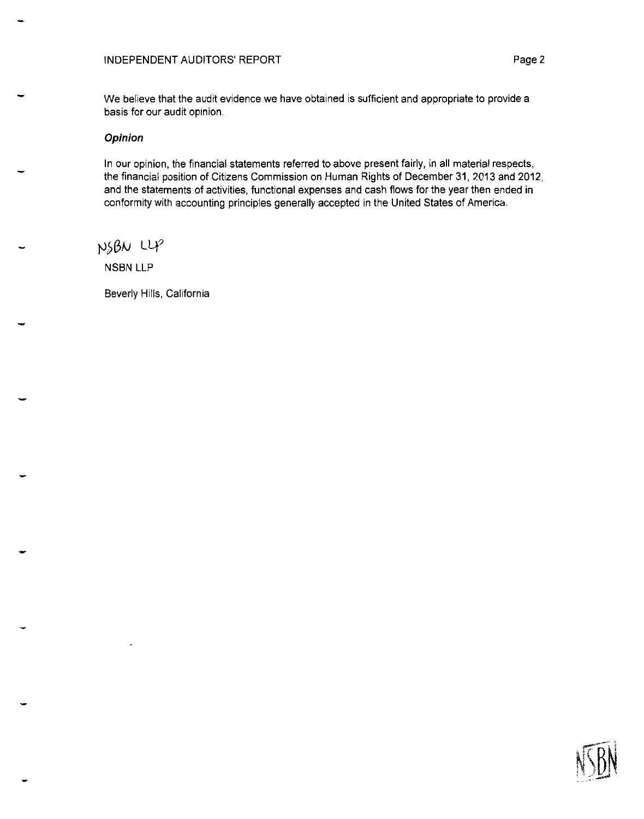# INDEPENDENT AUDITORS' REPORT  $\overline{a}$

We believe that the audit evidence we have obtained is sufficient and appropriate to provide a basis for our audit opinion.

### Opinion

In our opinion, the financial statements referred to above present fairly, in all material respects, the financial position of Citizens Commission on Human Rights of December 31, 2013 and 2012, and the statements of activities, functional expenses and cash flows for the year then ended in conformity with accounting principles generally accepted in the United States of America .

 $N5BN$  LLP

NSBN LLP

Beverly Hills, California

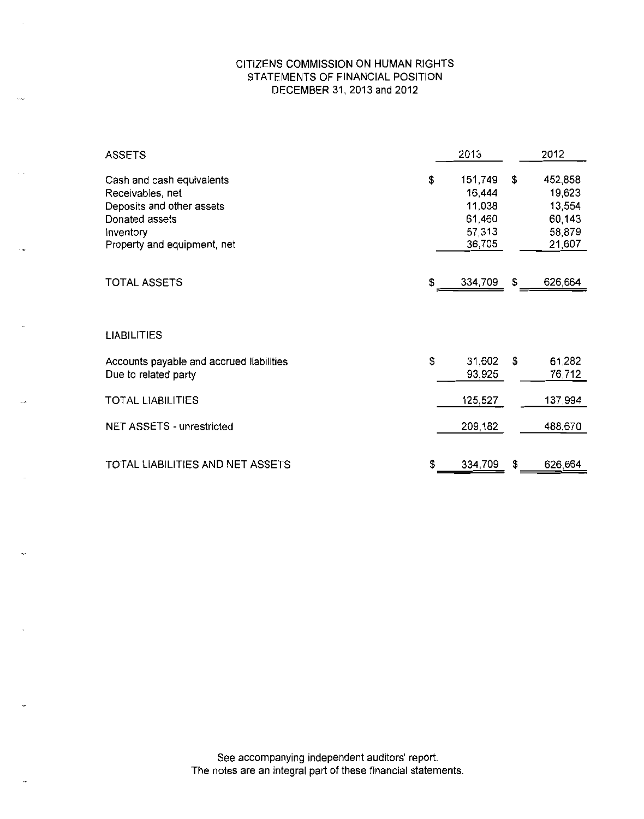# CITIZENS COMMISSION ON HUMAN RIGHTS STATEMENTS OF FINANCIAL POSITION DECEMBER 31, 2013 and 2012

 

| <b>ASSETS</b>                                                                                                                            |    | 2013                                                      | 2012                                                            |
|------------------------------------------------------------------------------------------------------------------------------------------|----|-----------------------------------------------------------|-----------------------------------------------------------------|
| Cash and cash equivalents<br>Receivables, net<br>Deposits and other assets<br>Donated assets<br>Inventory<br>Property and equipment, net | \$ | 151,749<br>16,444<br>11,038<br>61,460<br>57,313<br>36,705 | \$<br>452,858<br>19,623<br>13,554<br>60,143<br>58,879<br>21,607 |
| <b>TOTAL ASSETS</b>                                                                                                                      | \$ | 334,709                                                   | \$<br>626,664                                                   |
| <b>LIABILITIES</b>                                                                                                                       |    |                                                           |                                                                 |
| Accounts payable and accrued liabilities<br>Due to related party                                                                         | \$ | 31,602<br>93,925                                          | \$<br>61,282<br>76,712                                          |
| <b>TOTAL LIABILITIES</b>                                                                                                                 |    | 125,527                                                   | 137,994                                                         |
| NET ASSETS - unrestricted                                                                                                                |    | 209,182                                                   | 488,670                                                         |
| TOTAL LIABILITIES AND NET ASSETS                                                                                                         | S  | 334,709                                                   | \$<br>626,664                                                   |

See accompanying independent auditors' report. The notes are an integral part of these financial statements.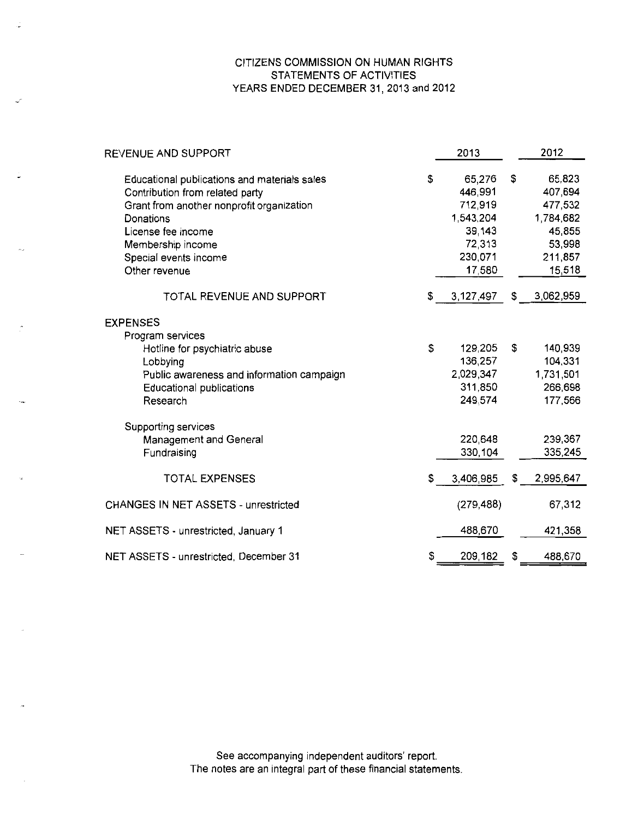# CITIZENS COMMISSION ON HUMAN RIGHTS STATEMENTS OF ACTIVITIES YEARS ENDED DECEMBER 31, 2013 and 2012

 

| REVENUE AND SUPPORT                                                                                                                                                                                                            |    | 2013                                                                               | 2012                                                                                     |  |  |
|--------------------------------------------------------------------------------------------------------------------------------------------------------------------------------------------------------------------------------|----|------------------------------------------------------------------------------------|------------------------------------------------------------------------------------------|--|--|
| Educational publications and materials sales<br>Contribution from related party<br>Grant from another nonprofit organization<br>Donations<br>License fee income<br>Membership income<br>Special events income<br>Other revenue | \$ | 65,276<br>446,991<br>712,919<br>1,543,204<br>39,143<br>72,313<br>230,071<br>17,580 | \$<br>65.823<br>407,694<br>477,532<br>1,784,682<br>45,855<br>53,998<br>211,857<br>15,518 |  |  |
| TOTAL REVENUE AND SUPPORT                                                                                                                                                                                                      | \$ | 3,127,497                                                                          | \$<br>3,062,959                                                                          |  |  |
| <b>EXPENSES</b><br>Program services<br>Hotline for psychiatric abuse<br>Lobbying<br>Public awareness and information campaign<br>Educational publications<br>Research<br>Supporting services                                   | \$ | 129,205<br>136,257<br>2.029,347<br>311,850<br>249,574                              | \$<br>140,939<br>104,331<br>1 731.501<br>266,698<br>177,566                              |  |  |
| Management and General<br>Fundraising                                                                                                                                                                                          |    | 220,648<br>330,104                                                                 | 239,367<br>335,245                                                                       |  |  |
| <b>TOTAL EXPENSES</b>                                                                                                                                                                                                          | S  | 3,406,985                                                                          | \$<br>2,995,647                                                                          |  |  |
| <b>CHANGES IN NET ASSETS - unrestricted</b>                                                                                                                                                                                    |    | (279, 488)                                                                         | 67,312                                                                                   |  |  |
| NET ASSETS - unrestricted, January 1                                                                                                                                                                                           |    | 488,670                                                                            | 421,358                                                                                  |  |  |
| NET ASSETS - unrestricted, December 31                                                                                                                                                                                         | S  | 209,182                                                                            | \$<br>488,670                                                                            |  |  |

See accompanying independent auditors' report. The notes are an integral part of these financial statements.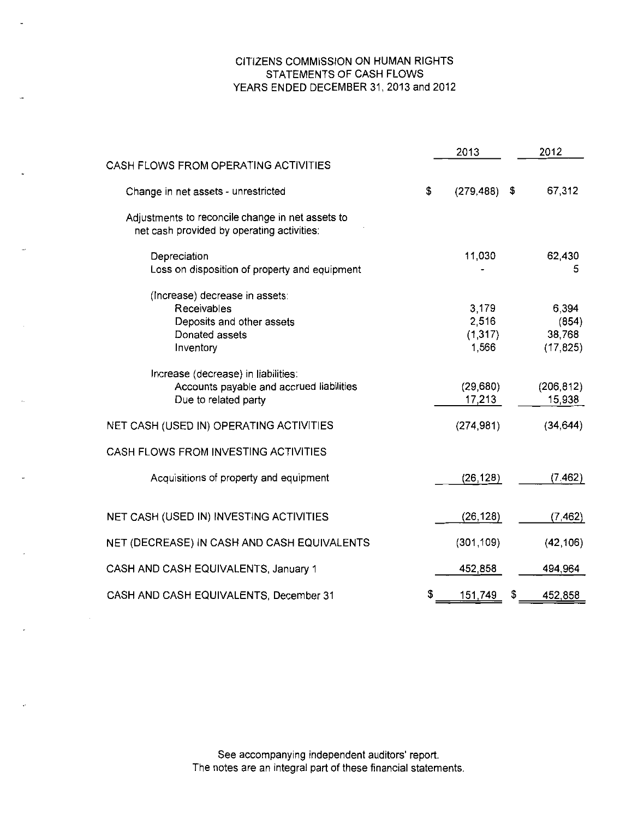# CITIZENS COMMISSION ON HUMAN RIGHTS STATEMENTS OF CASH FLOWS YEARS ENDED DECEMBER 31, 2013 and 2012

 

|                                                                                                | 2013                  | 2012          |
|------------------------------------------------------------------------------------------------|-----------------------|---------------|
| CASH FLOWS FROM OPERATING ACTIVITIES                                                           |                       |               |
| Change in net assets - unrestricted                                                            | \$<br>$(279, 488)$ \$ | 67,312        |
| Adjustments to reconcile change in net assets to<br>net cash provided by operating activities: |                       |               |
| Depreciation                                                                                   | 11,030                | 62,430        |
| Loss on disposition of property and equipment                                                  |                       | 5             |
| (Increase) decrease in assets:                                                                 |                       |               |
| Receivables                                                                                    | 3,179                 | 6,394         |
| Deposits and other assets                                                                      | 2,516                 | (854)         |
| Donated assets                                                                                 | (1, 317)              | 38,768        |
| Inventory                                                                                      | 1,566                 | (17, 825)     |
| Increase (decrease) in liabilities:                                                            |                       |               |
| Accounts payable and accrued liabilities                                                       | (29, 680)             | (206, 812)    |
| Due to related party                                                                           | 17,213                | 15,938        |
| NET CASH (USED IN) OPERATING ACTIVITIES                                                        | (274, 981)            | (34, 644)     |
| CASH FLOWS FROM INVESTING ACTIVITIES                                                           |                       |               |
| Acquisitions of property and equipment                                                         | (26, 128)             | (7, 462)      |
| NET CASH (USED IN) INVESTING ACTIVITIES                                                        | (26, 128)             | (7, 462)      |
| NET (DECREASE) IN CASH AND CASH EQUIVALENTS                                                    | (301, 109)            | (42, 106)     |
| CASH AND CASH EQUIVALENTS, January 1                                                           | 452,858               | 494,964       |
| CASH AND CASH EQUIVALENTS, December 31                                                         | \$<br>151,749         | \$<br>452,858 |

See accompanying independent auditors' report. The notes are an integral part of these financial statements.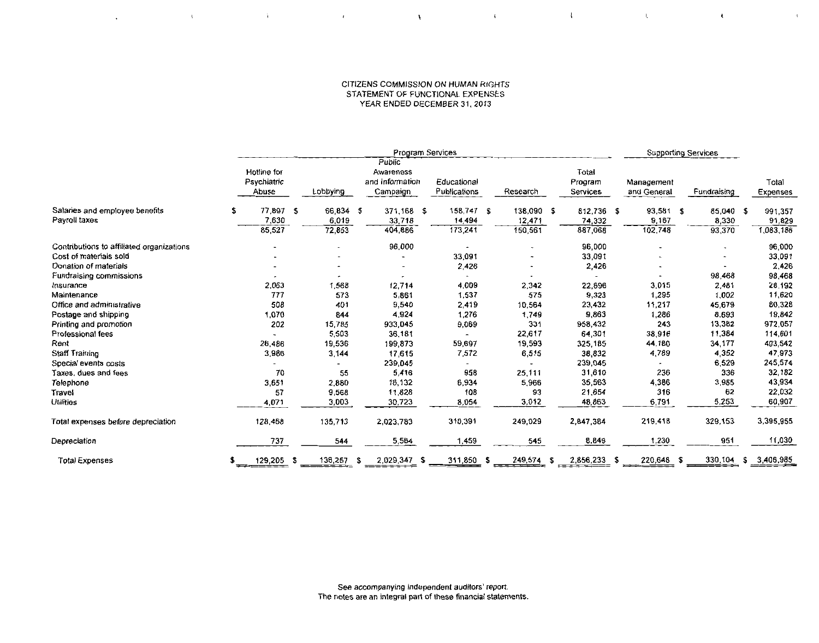### CITIZENS COMMISSION ON HUMAN RIGHTS STATEMENT OF FUNCTIONAL EXPENSES YEAR ENDED DECEMBER 31, 2013

 $\mathbf t$ 

 $\mathcal{R}_{\mathcal{A}}$ 

**In the contract of the contract of the contract of the contract of the contract of the contract of the contract of the contract of the contract of the contract of the contract of the contract of the contract of the contra** 

|                                           |                 |                 |                 | Program Services |                 |                | <b>Supporting Services</b> |             |                 |
|-------------------------------------------|-----------------|-----------------|-----------------|------------------|-----------------|----------------|----------------------------|-------------|-----------------|
|                                           |                 |                 | Public          |                  |                 |                |                            |             |                 |
|                                           | Hotline for     |                 | Awareness       |                  |                 | Total          |                            |             |                 |
|                                           | Psychiatric     |                 | and Information | Educational      |                 | Program        | Management                 |             | Total           |
|                                           | Abuse           | Lobbying        | Campaign        | Publications     | Research        | Services       | and General                | Fundraising | Expenses        |
| Salaries and employee benefits            | 77,897<br>S     | 66.834 \$<br>\$ | 371,168         | 158,747 \$<br>\$ | 138,090 \$      | 812,736 \$     | 93,581 \$                  | 85,040      | 991,357<br>- \$ |
| Payroll taxes                             | 7,630           | 6,019           | 33,718          | 14,494           | 12,471          | 74,332         | 9,167                      | 8,330       | 91,829          |
|                                           | 85,527          | 72,853          | 404,886         | 173,241          | 150,561         | 887,068        | 102,748                    | 93,370      | 1,083,186       |
| Contributions to affiliated organizations |                 |                 | 96,000          |                  |                 | 96,000         |                            |             | 96,000          |
| Cost of materials sold                    |                 |                 |                 | 33,091           |                 | 33.091         |                            |             | 33,091          |
| Donation of materials                     |                 |                 |                 | 2,426            |                 | 2.426          |                            |             | 2.426           |
| Fundraising commissions                   |                 |                 |                 |                  |                 |                |                            | 98,468      | 98,468          |
| Insurance                                 | 2,063           | 1,568           | 12,714          | 4,009            | 2,342           | 22,696         | 3,015                      | 2,481       | 28,192          |
| Maintenance                               | 777             | 573             | 5,861           | 1,537            | 575             | 9,323          | 1,295                      | 1,002       | 11,620          |
| Office and administrative                 | 508             | 401             | 9,540           | 2,419            | 10,564          | 23,432         | 11,217                     | 45,679      | 80,328          |
| Postage and shipping                      | 1,070           | 844             | 4,924           | 1,276            | 1,749           | 9,863          | 1,286                      | 8,693       | 19,842          |
| Printing and promotion                    | 202             | 15,785          | 933,045         | 9,069            | 331             | 958,432        | 243                        | 13,382      | 972,057         |
| Professional fees                         |                 | 5,503           | 36,181          |                  | 22,617          | 64,301         | 38,916                     | 11,384      | 114,601         |
| Rent                                      | 26,486          | 19,536          | 199,873         | 59,697           | 19.593          | 325,185        | 44.180                     | 34,177      | 403,542         |
| <b>Staff Training</b>                     | 3,986           | 3,144           | 17,615          | 7,572            | 6,515           | 38,832         | 4,789                      | 4,352       | 47,973          |
| Special events costs                      |                 |                 | 239,045         |                  |                 | 239,045        |                            | 6,529       | 245,574         |
| Taxes, dues and fees                      | 70              | 55              | 5,416           | 958              | 25,111          | 31,610         | 236                        | 336         | 32.182          |
| Telephone                                 | 3,651           | 2,880           | 16,132          | 6,934            | 5,966           | 35.563         | 4,386                      | 3,985       | 43,934          |
| Travel                                    | 57              | 9,568           | 11,828          | 108              | 93              | 21,654         | 316                        | 62          | 22,032          |
| Utilities                                 | 4,071           | 3,003           | 30,723          | 8,054            | 3,012           | 48,863         | 6,791                      | 5,253       | 60,907          |
| Total expenses before depreciation        | 128,468         | 135,713         | 2,023,783       | 310,391          | 249,029         | 2,847,384      | 219,418                    | 329,153     | 3,395,955       |
| Depreciation                              | 737             | 544             | 5,564           | 1,459            | 545             | 8,849          | 1,230                      | 951         | 11,030          |
| <b>Total Expenses</b>                     | 129,205 \$<br>ļ | 136,257         | 2,029,347<br>S  | 311,850<br>- 5   | 249,574<br>- \$ | 2,856,233<br>S | 220,648<br>- \$<br>- 5     | 330,104     | 3,406,985<br>S  |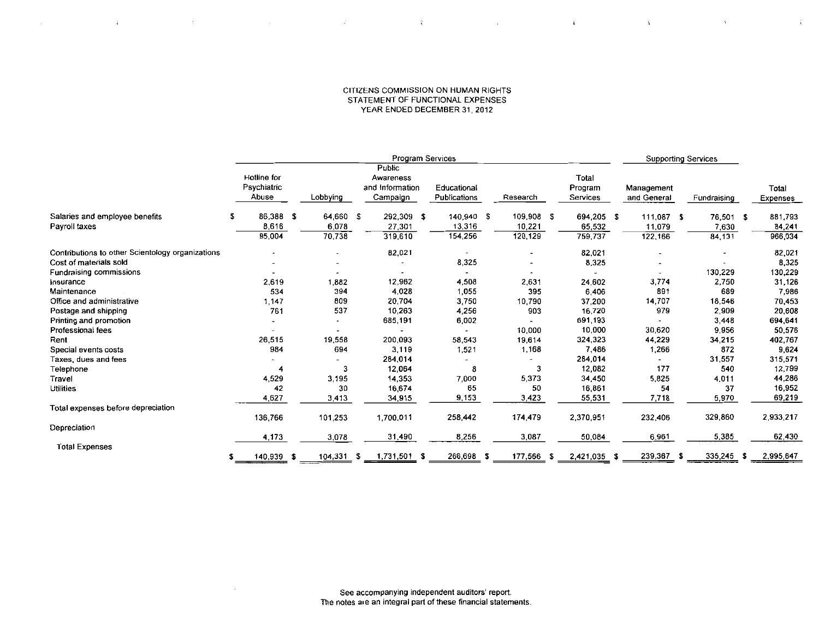### CITIZENS COMMISSION ON HUMAN RIGHTS STATEMENT OF FUNCTIONAL EXPENSES YEAR ENDED DECEMBER 31, 2012

|                                                  | Program Services |                                     |  |           |     |                                                    |      |                             | <b>Supporting Services</b> |                              |                           |  |             |  |                   |
|--------------------------------------------------|------------------|-------------------------------------|--|-----------|-----|----------------------------------------------------|------|-----------------------------|----------------------------|------------------------------|---------------------------|--|-------------|--|-------------------|
|                                                  |                  | Hotline for<br>Psychiatric<br>Abuse |  | Lobbying  |     | Public<br>Awareness<br>and Information<br>Campaign |      | Educational<br>Publications | Research                   | Total<br>Program<br>Services | Management<br>and General |  | Fundraising |  | Total<br>Expenses |
| Salaries and employee benefits                   | s                | 86.388 \$                           |  | 64,660 \$ |     | 292.309                                            | - \$ | 140,940 \$                  | 109,908 \$                 | 694,205 \$                   | 111,087 \$                |  | 76,501 \$   |  | 881,793           |
| Payroll taxes                                    |                  | 8,616                               |  | 6,078     |     | 27,301                                             |      | 13,316                      | 10,221                     | 65,532                       | 11,079                    |  | 7,630       |  | 84,241            |
|                                                  |                  | 95,004                              |  | 70,738    |     | 319,610                                            |      | 154,256                     | 120,129                    | 759,737                      | 122,166                   |  | 84,131      |  | 966,034           |
| Contributions to other Scientology organizations |                  |                                     |  |           |     | 82,021                                             |      |                             |                            | 82,021                       |                           |  |             |  | 82,021            |
| Cost of materials sold                           |                  |                                     |  |           |     |                                                    |      | 8,325                       |                            | 8,325                        |                           |  |             |  | 8,325             |
| Fundraising commissions                          |                  |                                     |  |           |     | $\overline{\phantom{a}}$                           |      |                             |                            |                              |                           |  | 130,229     |  | 130,229           |
| Insurance                                        |                  | 2,619                               |  | 1,882     |     | 12.962                                             |      | 4,508                       | 2,631                      | 24,602                       | 3,774                     |  | 2,750       |  | 31,126            |
| Maintenance                                      |                  | 534                                 |  | 394       |     | 4,028                                              |      | 1,055                       | 395                        | 6,406                        | 891                       |  | 689         |  | 7,986             |
| Office and administrative                        |                  | 1,147                               |  | 809       |     | 20,704                                             |      | 3,750                       | 10,790                     | 37.200                       | 14,707                    |  | 18,546      |  | 70,453            |
| Postage and shipping                             |                  | 761                                 |  | 537       |     | 10.263                                             |      | 4,256                       | 903                        | 16,720                       | 979                       |  | 2,909       |  | 20,608            |
| Printing and promotion                           |                  |                                     |  |           |     | 685,191                                            |      | 6,002                       |                            | 691.193                      |                           |  | 3,448       |  | 694,641           |
| Professional fees                                |                  |                                     |  |           |     |                                                    |      |                             | 10,000                     | 10,000                       | 30,620                    |  | 9.956       |  | 50,576            |
| Rent                                             |                  | 26,515                              |  | 19,558    |     | 200,093                                            |      | 58,543                      | 19,614                     | 324,323                      | 44,229                    |  | 34,215      |  | 402,767           |
| Special events costs                             |                  | 984                                 |  | 694       |     | 3,119                                              |      | 1,521                       | 1,168                      | 7,486                        | 1,266                     |  | 872         |  | 9,624             |
| Taxes, dues and fees                             |                  |                                     |  |           |     | 284,014                                            |      |                             |                            | 284,014                      |                           |  | 31,557      |  | 315,571           |
| Telephone                                        |                  |                                     |  | 3         |     | 12,064                                             |      | 8                           | 3                          | 12,082                       | 177                       |  | 540         |  | 12,799            |
| Travel                                           |                  | 4.529                               |  | 3,195     |     | 14.353                                             |      | 7,000                       | 5,373                      | 34,450                       | 5,825                     |  | 4,011       |  | 44,286            |
| <b>Utilities</b>                                 |                  | 42                                  |  | 30        |     | 16.674                                             |      | 65                          | 50                         | 16,861                       | 54                        |  | 37          |  | 16,952            |
|                                                  |                  | 4,627                               |  | 3,413     |     | 34 915                                             |      | 9,153                       | 3,423                      | 55,531                       | 7,718                     |  | 5,970       |  | 69,219            |
| Total expenses before depreciation               |                  |                                     |  |           |     |                                                    |      |                             |                            |                              |                           |  |             |  |                   |
|                                                  |                  | 136,766                             |  | 101.253   |     | 1,700,011                                          |      | 258,442                     | 174,479                    | 2,370,951                    | 232,406                   |  | 329,860     |  | 2,933,217         |
| Depreciation                                     |                  |                                     |  |           |     |                                                    |      |                             |                            |                              |                           |  |             |  |                   |
|                                                  |                  | 4,173                               |  | 3,078     |     | 31,490                                             |      | 8,256                       | 3,087                      | 50,084                       | 6,961                     |  | 5,385       |  | 62,430            |
| <b>Total Expenses</b>                            |                  |                                     |  |           |     |                                                    |      |                             |                            |                              |                           |  |             |  |                   |
|                                                  |                  | 140,939 \$                          |  | 104,331   | - 5 | 1,731,501 \$                                       |      | 266,698 \$                  | 177,566 \$                 | 2,421,035 \$                 | 239,367 \$                |  | 335,245 \$  |  | 2,995,647         |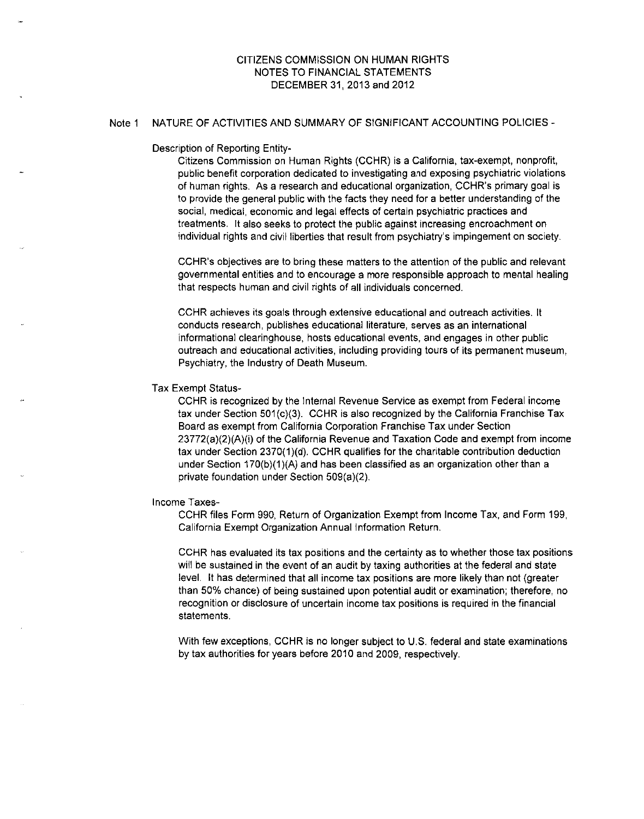### Note 1 NATURE OF ACTIVITIES AND SUMMARY OF SIGNIFICANT ACCOUNTING POLICIES -

Description of Reporting Entity-

Citizens Commission on Human Rights (CCHR) is a California, tax-exempt, nonprofit, public benefit corporation dedicated to investigating and exposing psychiatric violations of human rights . As a research and educational organization, CCHR's primary goal is to provide the general public with the facts they need for a better understanding of the social, medical, economic and legal effects of certain psychiatric practices and treatments . It also seeks to protect the public against increasing encroachment on individual rights and civil liberties that result from psychiatry's impingement on society .

CCHR's objectives are to bring these matters to the attention of the public and relevant governmental entities and to encourage a more responsible approach to mental healing that respects human and civil rights of all individuals concerned .

CCHR achieves its goals through extensive educational and outreach activities . It conducts research, publishes educational literature, serves as an international informational clearinghouse, hosts educational events, and engages in other public outreach and educational activities, including providing tours of its permanent museum, Psychiatry, the Industry of Death Museum.

Tax Exempt Status-

CCHR is recognized by the Internal Revenue Service as exempt from Federal income tax under Section 501(c)(3). CCHR is also recognized by the California Franchise Tax Board as exempt from California Corporation Franchise Tax under Section 23772(a)(2)(A)(i) of the California Revenue and Taxation Code and exempt from income tax under Section 2370(1)(d) . CCHR qualifies for the charitable contribution deduction under Section  $170(b)(1)(A)$  and has been classified as an organization other than a private foundation under Section 509(a)(2).

Income Taxes-

CCHR files Form 990, Return of Organization Exempt from Income Tax, and Form 199, California Exempt Organization Annual Information Return.

CCHR has evaluated its tax positions and the certainty as to whether those tax positions will be sustained in the event of an audit by taxing authorities at the federal and state level. It has determined that all income tax positions are more likely than not (greater than 50% chance) of being sustained upon potential audit or examination; therefore, no recognition or disclosure of uncertain income tax positions is required in the financial statements.

With few exceptions, CCHR is no longer subject to U.S. federal and state examinations by tax authorities for years before 2010 and 2009, respectively .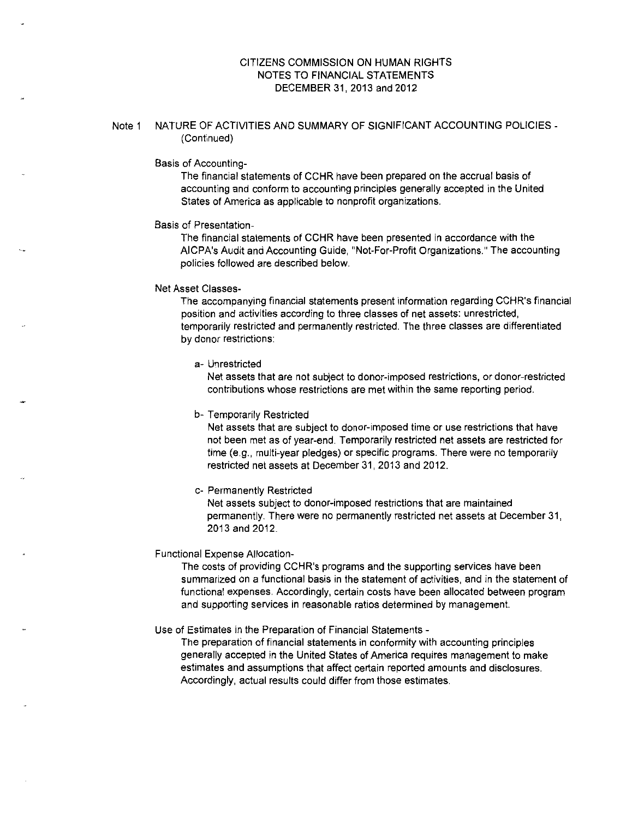### Note 1 NATURE OF ACTIVITIES AND SUMMARY OF SIGNIFICANT ACCOUNTING POLICIES -(Continued)

Basis of Accounting-

The financial statements of CCHR have been prepared on the accrual basis of accounting and conform to accounting principles generally accepted in the United States of America as applicable to nonprofit organizations .

Basis of Presentation-

The financial statements of CCHR have been presented in accordance with the AICPA's Audit and Accounting Guide, "Not-For-Profit Organizations ." The accounting policies followed are described below.

### Net Asset Classes-

The accompanying financial statements present information regarding CCHR's financial position and activities according to three classes of net assets : unrestricted, temporarily restricted and permanently restricted . The three classes are differentiated by donor restrictions:

### a- Unrestricted

Net assets that are not subject to donor-imposed restrictions, or donor-restricted contributions whose restrictions are met within the same reporting period .

b- Temporarily Restricted

Net assets that are subject to donor-imposed time or use restrictions that have not been met as of year-end . Temporarily restricted net assets are restricted for time (e.g., multi-year pledges) or specific programs. There were no temporarily restricted net assets at December 31, 2013 and 2012 .

### c- Permanently Restricted

Net assets subject to donor-imposed restrictions that are maintained permanently. There were no permanently restricted net assets at December 31, 2013 and 2012.

### Functional Expense Allocation-

The costs of providing CCHR's programs and the supporting services have been summarized on a functional basis in the statement of activities, and in the statement of functional expenses . Accordingly, certain costs have been allocated between program and supporting services in reasonable ratios determined by management.

### Use of Estimates in the Preparation of Financial Statements -

The preparation of financial statements in conformity with accounting principles generally accepted in the United States of America requires management to make estimates and assumptions that affect certain reported amounts and disclosures . Accordingly, actual results could differ from those estimates .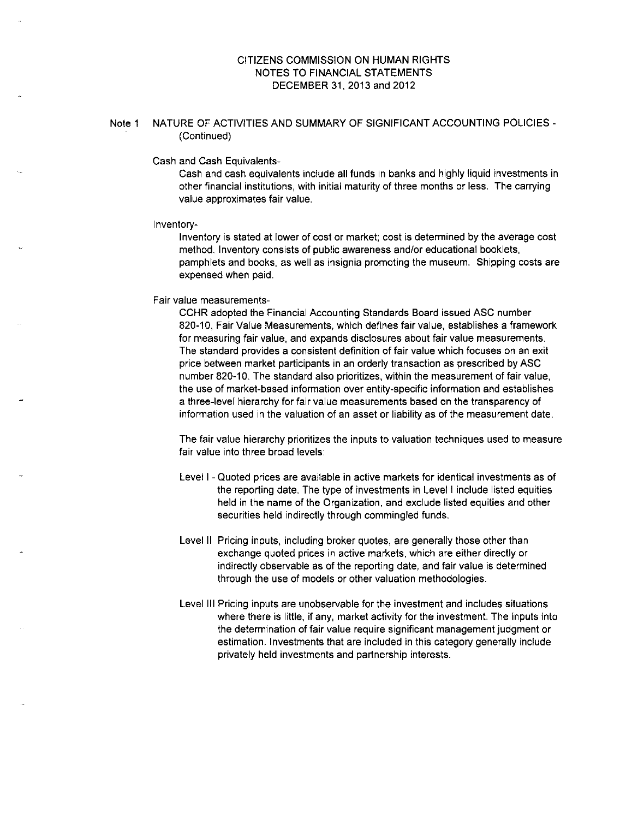### Note 1 NATURE OF ACTIVITIES AND SUMMARY OF SIGNIFICANT ACCOUNTING POLICIES -(Continued)

Cash and Cash Equivalents-

Cash and cash equivalents include all funds in banks and highly liquid investments in other financial institutions, with initial maturity of three months or less. The carrying value approximates fair value .

### Inventory-

Inventory is stated at lower of cost or market; cost is determined by the average cost method. Inventory consists of public awareness and/or educational booklets, pamphlets and books, as well as insignia promoting the museum . Shipping costs are expensed when paid.

### Fair value measurements-

CCHR adopted the Financial Accounting Standards Board issued ASC number 820-10, Fair Value Measurements, which defines fair value, establishes a framework for measuring fair value, and expands disclosures about fair value measurements. The standard provides a consistent definition of fair value which focuses on an exit price between market participants in an orderly transaction as prescribed by ASC number 820-10 . The standard also prioritizes, within the measurement of fair value, the use of market-based information over entity-specific information and establishes a three-level hierarchy for fair value measurements based on the transparency of information used in the valuation of an asset or liability as of the measurement date .

The fair value hierarchy prioritizes the inputs to valuation techniques used to measure fair value into three broad levels:

- Level I Quoted prices are available in active markets for identical investments as of the reporting date. The type of investments in Level I include listed equities held in the name of the Organization, and exclude listed equities and other securities held indirectly through commingled funds.
- Level II Pricing inputs, including broker quotes, are generally those other than exchange quoted prices in active markets, which are either directly or indirectly observable as of the reporting date, and fair value is determined through the use of models or other valuation methodologies .
- Level III Pricing inputs are unobservable for the investment and includes situations where there is little, if any, market activity for the investment. The inputs into the determination of fair value require significant management judgment or estimation. Investments that are included in this category generally include privately held investments and partnership interests .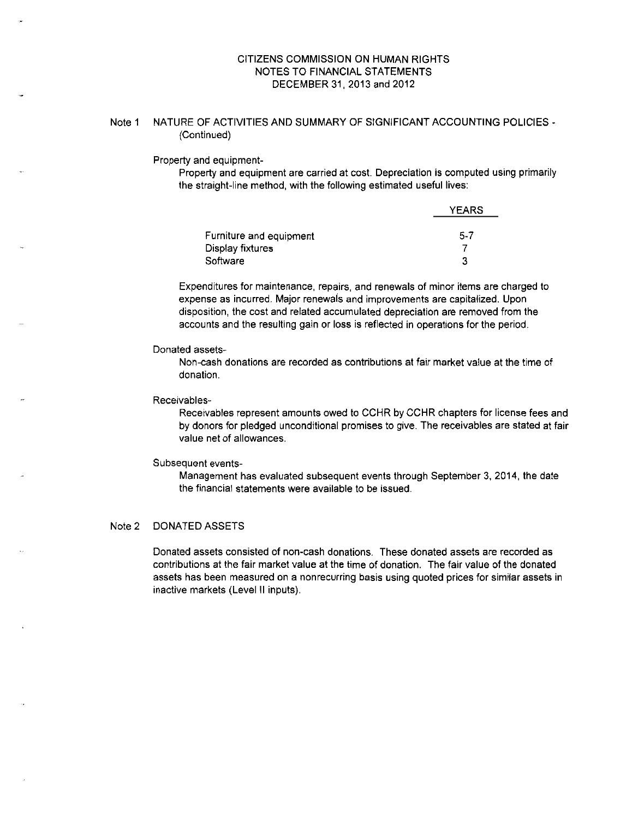### Note 1 NATURE OF ACTIVITIES AND SUMMARY OF SIGNIFICANT ACCOUNTING POLICIES -(Continued)

### Property and equipment-

 

Property and equipment are carried at cost . Depreciation is computed using primarily the straight-line method, with the following estimated useful lives :

|                         | <b>YEARS</b> |
|-------------------------|--------------|
|                         |              |
| Furniture and equipment | $5 - 7$      |
| Display fixtures        |              |
| Software                | 3            |

Expenditures for maintenance, repairs, and renewals of minor items are charged to expense as incurred . Major renewals and improvements are capitalized . Upon disposition, the cost and related accumulated depreciation are removed from the accounts and the resulting gain or loss is reflected in operations for the period .

### Donated assets-

Non-cash donations are recorded as contributions at fair market value at the time of donation.

### Receivables-

Receivables represent amounts owed to CCHR by CCHR chapters for license fees and by donors for pledged unconditional promises to give . The receivables are stated at fair value net of allowances .

### Subsequent events-

Management has evaluated subsequent events through September 3, 2014, the date the financial statements were available to be issued .

# Note 2 DONATED ASSETS

Donated assets consisted of non-cash donations . These donated assets are recorded as contributions at the fair market value at the time of donation . The fair value of the donated assets has been measured on a nonrecurring basis using quoted prices for similar assets in inactive markets (Level II inputs).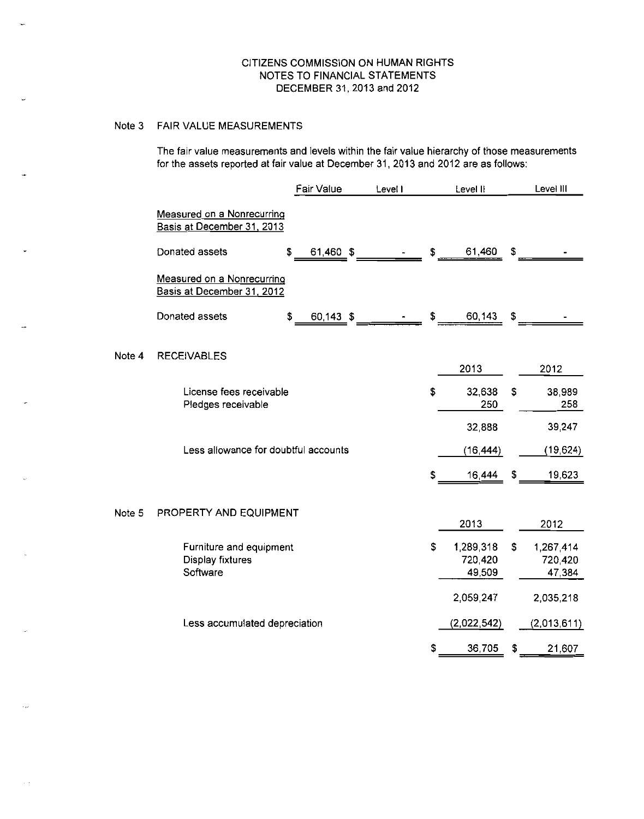# Note 3 FAIR VALUE MEASUREMENTS

 

|        |                                                          | Fair Value | Level I | Level II                       | Level III                            |
|--------|----------------------------------------------------------|------------|---------|--------------------------------|--------------------------------------|
|        | Measured on a Nonrecurring<br>Basis at December 31, 2013 |            |         |                                |                                      |
|        | Donated assets<br>S                                      | 61,460 \$  | S       | 61,460                         | \$                                   |
|        | Measured on a Nonrecurring<br>Basis at December 31, 2012 |            |         |                                |                                      |
|        | Donated assets<br>\$                                     | 60,143 \$  | S       | 60,143                         | \$                                   |
| Note 4 | <b>RECEIVABLES</b>                                       |            |         | 2013                           | 2012                                 |
|        | License fees receivable<br>Pledges receivable            |            | \$      | 32,638<br>250                  | \$<br>38,989<br>258                  |
|        |                                                          |            |         | 32,888                         | 39,247                               |
|        | Less allowance for doubtful accounts                     |            |         | (16, 444)                      | (19, 624)                            |
|        |                                                          |            |         | 16,444                         | \$<br>19,623                         |
| Note 5 | PROPERTY AND EQUIPMENT                                   |            |         | 2013                           | 2012                                 |
|        | Furniture and equipment<br>Display fixtures<br>Software  |            | \$      | 1,289,318<br>720,420<br>49,509 | \$<br>1,267,414<br>720,420<br>47,384 |
|        |                                                          |            |         | 2,059,247                      | 2,035,218                            |
|        | Less accumulated depreciation                            |            |         | (2,022,542)                    | (2,013,611)                          |
|        |                                                          |            | S       | 36,705                         | \$<br>21,607                         |